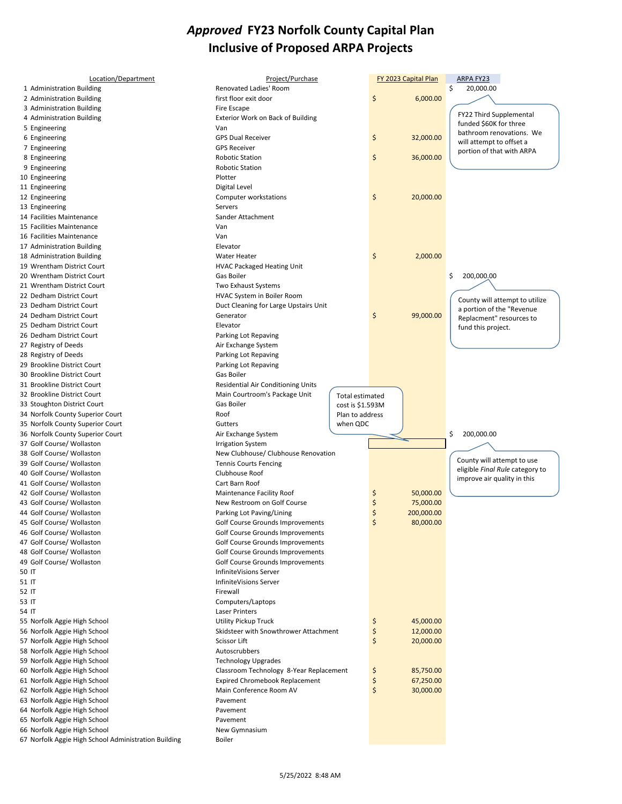## *Approved* **FY23 Norfolk County Capital Plan Inclusive of Proposed ARPA Projects**

| Location/Department                                                  | Project/Purchase                        |                             | <b>FY 2023 Capital Plan</b> | ARPA FY23                       |
|----------------------------------------------------------------------|-----------------------------------------|-----------------------------|-----------------------------|---------------------------------|
| 1 Administration Building                                            | <b>Renovated Ladies' Room</b>           |                             |                             | \$<br>20,000.00                 |
| 2 Administration Building                                            | first floor exit door                   | \$                          | 6,000.00                    |                                 |
| 3 Administration Building                                            | Fire Escape                             |                             |                             | FY22 Third Supplemental         |
| 4 Administration Building                                            | Exterior Work on Back of Building       |                             |                             | funded \$60K for three          |
| 5 Engineering                                                        | Van                                     |                             |                             | bathroom renovations. We        |
| 6 Engineering                                                        | <b>GPS Dual Receiver</b>                | \$                          | 32,000.00                   | will attempt to offset a        |
| 7 Engineering                                                        | <b>GPS Receiver</b>                     |                             |                             | portion of that with ARPA       |
| 8 Engineering                                                        | <b>Robotic Station</b>                  | \$                          | 36,000.00                   |                                 |
| 9 Engineering                                                        | <b>Robotic Station</b>                  |                             |                             |                                 |
| 10 Engineering<br>11 Engineering                                     | Plotter<br>Digital Level                |                             |                             |                                 |
| 12 Engineering                                                       | Computer workstations                   | \$                          | 20,000.00                   |                                 |
| 13 Engineering                                                       | Servers                                 |                             |                             |                                 |
| 14 Facilities Maintenance                                            | Sander Attachment                       |                             |                             |                                 |
| 15 Facilities Maintenance                                            | Van                                     |                             |                             |                                 |
| 16 Facilities Maintenance                                            | Van                                     |                             |                             |                                 |
| 17 Administration Building                                           | Elevator                                |                             |                             |                                 |
| 18 Administration Building                                           | <b>Water Heater</b>                     | \$                          | 2,000.00                    |                                 |
| 19 Wrentham District Court                                           | <b>HVAC Packaged Heating Unit</b>       |                             |                             |                                 |
| 20 Wrentham District Court                                           | Gas Boiler                              |                             |                             | \$<br>200,000,00                |
| 21 Wrentham District Court                                           | Two Exhaust Systems                     |                             |                             |                                 |
| 22 Dedham District Court                                             | HVAC System in Boiler Room              |                             |                             | County will attempt to utilize  |
| 23 Dedham District Court                                             | Duct Cleaning for Large Upstairs Unit   |                             |                             | a portion of the "Revenue       |
| 24 Dedham District Court                                             | Generator                               | \$                          | 99,000.00                   | Replacment" resources to        |
| 25 Dedham District Court                                             | Elevator                                |                             |                             | fund this project.              |
| 26 Dedham District Court                                             | Parking Lot Repaving                    |                             |                             |                                 |
| 27 Registry of Deeds                                                 | Air Exchange System                     |                             |                             |                                 |
| 28 Registry of Deeds                                                 | Parking Lot Repaving                    |                             |                             |                                 |
| 29 Brookline District Court<br>30 Brookline District Court           | Parking Lot Repaving<br>Gas Boiler      |                             |                             |                                 |
| 31 Brookline District Court                                          | Residential Air Conditioning Units      |                             |                             |                                 |
| 32 Brookline District Court                                          | Main Courtroom's Package Unit           |                             |                             |                                 |
|                                                                      |                                         | <b>Total estimated</b>      |                             |                                 |
|                                                                      |                                         |                             |                             |                                 |
| 33 Stoughton District Court                                          | Gas Boiler                              | cost is \$1.593M            |                             |                                 |
| 34 Norfolk County Superior Court<br>35 Norfolk County Superior Court | Roof<br>Gutters                         | Plan to address<br>when QDC |                             |                                 |
| 36 Norfolk County Superior Court                                     | Air Exchange System                     |                             |                             | \$<br>200,000.00                |
| 37 Golf Course/ Wollaston                                            | <b>Irrigation System</b>                |                             |                             |                                 |
| 38 Golf Course/ Wollaston                                            | New Clubhouse/ Clubhouse Renovation     |                             |                             |                                 |
| 39 Golf Course/ Wollaston                                            | <b>Tennis Courts Fencing</b>            |                             |                             | County will attempt to use      |
| 40 Golf Course/ Wollaston                                            | Clubhouse Roof                          |                             |                             | eligible Final Rule category to |
| 41 Golf Course/ Wollaston                                            | Cart Barn Roof                          |                             |                             | improve air quality in this     |
| 42 Golf Course/ Wollaston                                            | Maintenance Facility Roof               | \$                          | 50,000.00                   |                                 |
| 43 Golf Course/ Wollaston                                            | New Restroom on Golf Course             |                             | 75,000.00                   |                                 |
| 44 Golf Course/ Wollaston                                            | Parking Lot Paving/Lining               | \$                          | 200,000.00                  |                                 |
| 45 Golf Course/ Wollaston                                            | Golf Course Grounds Improvements        | Ś                           | 80,000.00                   |                                 |
| 46 Golf Course/ Wollaston                                            | Golf Course Grounds Improvements        |                             |                             |                                 |
| 47 Golf Course/ Wollaston                                            | Golf Course Grounds Improvements        |                             |                             |                                 |
| 48 Golf Course/ Wollaston                                            | Golf Course Grounds Improvements        |                             |                             |                                 |
| 49 Golf Course/ Wollaston                                            | Golf Course Grounds Improvements        |                             |                             |                                 |
| 50 IT                                                                | InfiniteVisions Server                  |                             |                             |                                 |
| 51 IT<br>52 IT                                                       | InfiniteVisions Server<br>Firewall      |                             |                             |                                 |
| 53 IT                                                                | Computers/Laptops                       |                             |                             |                                 |
| 54 IT                                                                | <b>Laser Printers</b>                   |                             |                             |                                 |
| 55 Norfolk Aggie High School                                         | <b>Utility Pickup Truck</b>             | \$                          | 45,000.00                   |                                 |
| 56 Norfolk Aggie High School                                         | Skidsteer with Snowthrower Attachment   | \$                          | 12,000.00                   |                                 |
| 57 Norfolk Aggie High School                                         | Scissor Lift                            | \$                          | 20,000.00                   |                                 |
| 58 Norfolk Aggie High School                                         | Autoscrubbers                           |                             |                             |                                 |
| 59 Norfolk Aggie High School                                         | <b>Technology Upgrades</b>              |                             |                             |                                 |
| 60 Norfolk Aggie High School                                         | Classroom Technology 8-Year Replacement | \$                          | 85,750.00                   |                                 |
| 61 Norfolk Aggie High School                                         | <b>Expired Chromebook Replacement</b>   | \$                          | 67,250.00                   |                                 |
| 62 Norfolk Aggie High School                                         | Main Conference Room AV                 | \$                          | 30,000.00                   |                                 |
| 63 Norfolk Aggie High School                                         | Pavement                                |                             |                             |                                 |
| 64 Norfolk Aggie High School                                         | Pavement                                |                             |                             |                                 |
| 65 Norfolk Aggie High School<br>66 Norfolk Aggie High School         | Pavement<br>New Gymnasium               |                             |                             |                                 |